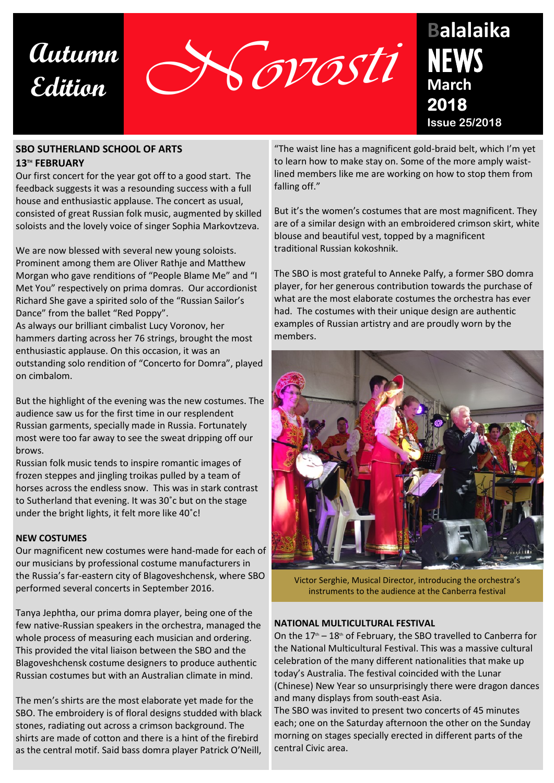



### **SBO SUTHERLAND SCHOOL OF ARTS 13TH FEBRUARY**

Our first concert for the year got off to a good start. The feedback suggests it was a resounding success with a full house and enthusiastic applause. The concert as usual, consisted of great Russian folk music, augmented by skilled soloists and the lovely voice of singer Sophia Markovtzeva.

We are now blessed with several new young soloists. Prominent among them are Oliver Rathje and Matthew Morgan who gave renditions of "People Blame Me" and "I Met You" respectively on prima domras. Our accordionist Richard She gave a spirited solo of the "Russian Sailor's Dance" from the ballet "Red Poppy".

As always our brilliant cimbalist Lucy Voronov, her hammers darting across her 76 strings, brought the most enthusiastic applause. On this occasion, it was an outstanding solo rendition of "Concerto for Domra", played on cimbalom.

But the highlight of the evening was the new costumes. The audience saw us for the first time in our resplendent Russian garments, specially made in Russia. Fortunately most were too far away to see the sweat dripping off our brows.

Russian folk music tends to inspire romantic images of frozen steppes and jingling troikas pulled by a team of horses across the endless snow. This was in stark contrast to Sutherland that evening. It was 30˚c but on the stage under the bright lights, it felt more like 40˚c!

### **NEW COSTUMES**

Our magnificent new costumes were hand-made for each of our musicians by professional costume manufacturers in the Russia's far-eastern city of Blagoveshchensk, where SBO performed several concerts in September 2016.

Tanya Jephtha, our prima domra player, being one of the few native-Russian speakers in the orchestra, managed the whole process of measuring each musician and ordering. This provided the vital liaison between the SBO and the Blagoveshchensk costume designers to produce authentic Russian costumes but with an Australian climate in mind.

The men's shirts are the most elaborate yet made for the SBO. The embroidery is of floral designs studded with black stones, radiating out across a crimson background. The shirts are made of cotton and there is a hint of the firebird as the central motif. Said bass domra player Patrick O'Neill,

"The waist line has a magnificent gold-braid belt, which I'm yet to learn how to make stay on. Some of the more amply waistlined members like me are working on how to stop them from falling off."

But it's the women's costumes that are most magnificent. They are of a similar design with an embroidered crimson skirt, white blouse and beautiful vest, topped by a magnificent traditional Russian kokoshnik.

The SBO is most grateful to Anneke Palfy, a former SBO domra player, for her generous contribution towards the purchase of what are the most elaborate costumes the orchestra has ever had. The costumes with their unique design are authentic examples of Russian artistry and are proudly worn by the members.



Victor Serghie, Musical Director, introducing the orchestra's instruments to the audience at the Canberra festival

### **NATIONAL MULTICULTURAL FESTIVAL**

On the  $17<sup>th</sup> - 18<sup>th</sup>$  of February, the SBO travelled to Canberra for the National Multicultural Festival. This was a massive cultural celebration of the many different nationalities that make up today's Australia. The festival coincided with the Lunar (Chinese) New Year so unsurprisingly there were dragon dances and many displays from south-east Asia.

The SBO was invited to present two concerts of 45 minutes each; one on the Saturday afternoon the other on the Sunday morning on stages specially erected in different parts of the central Civic area.